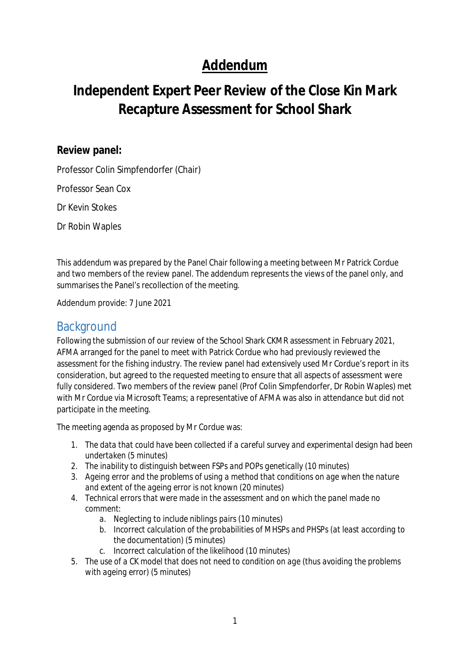## **Addendum**

# **Independent Expert Peer Review of the Close Kin Mark Recapture Assessment for School Shark**

#### **Review panel:**

Professor Colin Simpfendorfer (Chair)

Professor Sean Cox

Dr Kevin Stokes

Dr Robin Waples

This addendum was prepared by the Panel Chair following a meeting between Mr Patrick Cordue and two members of the review panel. The addendum represents the views of the panel only, and summarises the Panel's recollection of the meeting.

Addendum provide: 7 June 2021

### **Background**

Following the submission of our review of the School Shark CKMR assessment in February 2021, AFMA arranged for the panel to meet with Patrick Cordue who had previously reviewed the assessment for the fishing industry. The review panel had extensively used Mr Cordue's report in its consideration, but agreed to the requested meeting to ensure that all aspects of assessment were fully considered. Two members of the review panel (Prof Colin Simpfendorfer, Dr Robin Waples) met with Mr Cordue via Microsoft Teams; a representative of AFMA was also in attendance but did not participate in the meeting.

The meeting agenda as proposed by Mr Cordue was:

- *1. The data that could have been collected if a careful survey and experimental design had been undertaken (5 minutes)*
- *2. The inability to distinguish between FSPs and POPs genetically (10 minutes)*
- *3. Ageing error and the problems of using a method that conditions on age when the nature and extent of the ageing error is not known (20 minutes)*
- *4. Technical errors that were made in the assessment and on which the panel made no comment:*
	- *a. Neglecting to include niblings pairs (10 minutes)*
	- *b. Incorrect calculation of the probabilities of MHSPs and PHSPs (at least according to the documentation) (5 minutes)*
	- *c. Incorrect calculation of the likelihood (10 minutes)*
- *5. The use of a CK model that does not need to condition on age (thus avoiding the problems with ageing error) (5 minutes)*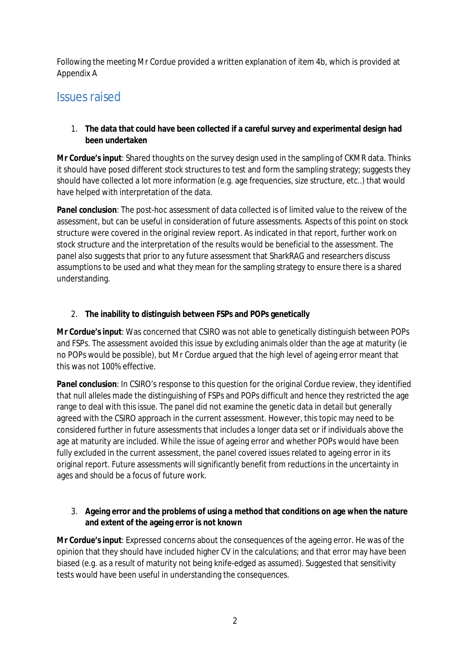Following the meeting Mr Cordue provided a written explanation of item 4b, which is provided at Appendix A

### Issues raised

#### 1. **The data that could have been collected if a careful survey and experimental design had been undertaken**

*Mr Cordue's input*: Shared thoughts on the survey design used in the sampling of CKMR data. Thinks it should have posed different stock structures to test and form the sampling strategy; suggests they should have collected a lot more information (e.g. age frequencies, size structure, etc..) that would have helped with interpretation of the data.

*Panel conclusion*: The post-hoc assessment of data collected is of limited value to the reivew of the assessment, but can be useful in consideration of future assessments. Aspects of this point on stock structure were covered in the original review report. As indicated in that report, further work on stock structure and the interpretation of the results would be beneficial to the assessment. The panel also suggests that prior to any future assessment that SharkRAG and researchers discuss assumptions to be used and what they mean for the sampling strategy to ensure there is a shared understanding.

#### 2. **The inability to distinguish between FSPs and POPs genetically**

*Mr Cordue's input*: Was concerned that CSIRO was not able to genetically distinguish between POPs and FSPs. The assessment avoided this issue by excluding animals older than the age at maturity (ie no POPs would be possible), but Mr Cordue argued that the high level of ageing error meant that this was not 100% effective.

*Panel conclusion*: In CSIRO's response to this question for the original Cordue review, they identified that null alleles made the distinguishing of FSPs and POPs difficult and hence they restricted the age range to deal with this issue. The panel did not examine the genetic data in detail but generally agreed with the CSIRO approach in the current assessment. However, this topic may need to be considered further in future assessments that includes a longer data set or if individuals above the age at maturity are included. While the issue of ageing error and whether POPs would have been fully excluded in the current assessment, the panel covered issues related to ageing error in its original report. Future assessments will significantly benefit from reductions in the uncertainty in ages and should be a focus of future work.

#### 3. **Ageing error and the problems of using a method that conditions on age when the nature and extent of the ageing error is not known**

*Mr Cordue's input*: Expressed concerns about the consequences of the ageing error. He was of the opinion that they should have included higher CV in the calculations; and that error may have been biased (e.g. as a result of maturity not being knife-edged as assumed). Suggested that sensitivity tests would have been useful in understanding the consequences.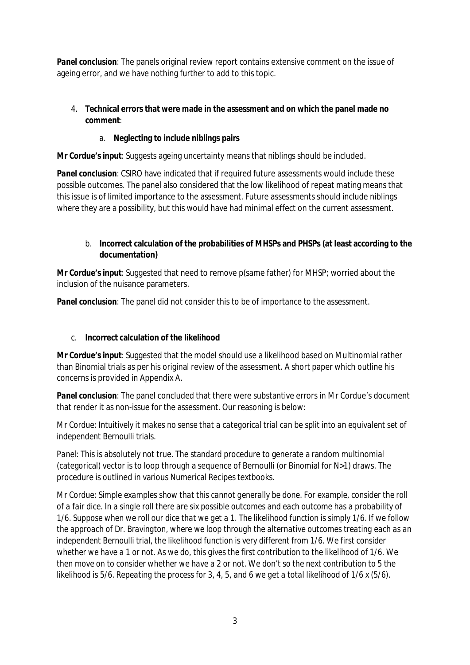*Panel conclusion*: The panels original review report contains extensive comment on the issue of ageing error, and we have nothing further to add to this topic.

#### 4. **Technical errors that were made in the assessment and on which the panel made no comment**:

#### a. **Neglecting to include niblings pairs**

*Mr Cordue's input*: Suggests ageing uncertainty means that niblings should be included.

*Panel conclusion*: CSIRO have indicated that if required future assessments would include these possible outcomes. The panel also considered that the low likelihood of repeat mating means that this issue is of limited importance to the assessment. Future assessments should include niblings where they are a possibility, but this would have had minimal effect on the current assessment.

#### b. **Incorrect calculation of the probabilities of MHSPs and PHSPs (at least according to the documentation)**

*Mr Cordue's input*: Suggested that need to remove p(same father) for MHSP; worried about the inclusion of the nuisance parameters.

**Panel conclusion**: The panel did not consider this to be of importance to the assessment.

#### c. **Incorrect calculation of the likelihood**

*Mr Cordue's input*: Suggested that the model should use a likelihood based on Multinomial rather than Binomial trials as per his original review of the assessment. A short paper which outline his concerns is provided in Appendix A.

*Panel conclusion*: The panel concluded that there were substantive errors in Mr Cordue's document that render it as non-issue for the assessment. Our reasoning is below:

*Mr Cordue*: *Intuitively it makes no sense that a categorical trial can be split into an equivalent set of independent Bernoulli trials.*

*Panel*: This is absolutely not true. The standard procedure to generate a random multinomial (categorical) vector is to loop through a sequence of Bernoulli (or Binomial for N>1) draws. The procedure is outlined in various Numerical Recipes textbooks.

*Mr Cordue*: *Simple examples show that this cannot generally be done. For example, consider the roll of a fair dice. In a single roll there are six possible outcomes and each outcome has a probability of 1/6. Suppose when we roll our dice that we get a 1. The likelihood function is simply 1/6. If we follow the approach of Dr. Bravington, where we loop through the alternative outcomes treating each as an independent Bernoulli trial, the likelihood function is very different from 1/6. We first consider whether we have a 1 or not. As we do, this gives the first contribution to the likelihood of 1/6. We then move on to consider whether we have a 2 or not. We don't so the next contribution to 5 the likelihood is 5/6. Repeating the process for 3, 4, 5, and 6 we get a total likelihood of 1/6 x (5/6).*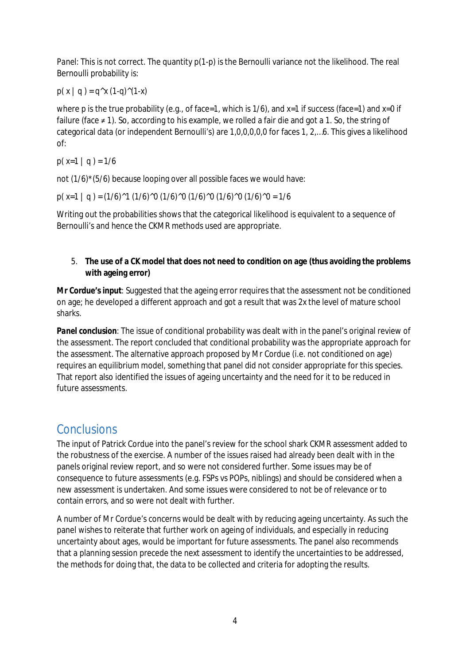*Panel:* This is not correct. The quantity  $p(1-p)$  is the Bernoulli variance not the likelihood. The real Bernoulli probability is:

 $p(x | q) = q^x (1-q)^(1-x)$ 

where p is the true probability (e.g., of face=1, which is  $1/6$ ), and  $x=1$  if success (face=1) and  $x=0$  if failure (face ≠ 1). So, according to his example, we rolled a fair die and got a 1. So, the string of categorical data (or independent Bernoulli's) are 1,0,0,0,0,0 for faces 1, 2,…6. This gives a likelihood of:

p( $x=1$  | q) = 1/6

not (1/6)\*(5/6) because looping over all possible faces we would have:

p( x=1 | q ) = (1/6)^1 (1/6)^0 (1/6)^0 (1/6)^0 (1/6)^0 (1/6)^0 = 1/6

Writing out the probabilities shows that the categorical likelihood is equivalent to a sequence of Bernoulli's and hence the CKMR methods used are appropriate.

#### 5. **The use of a CK model that does not need to condition on age (thus avoiding the problems with ageing error)**

*Mr Cordue's input*: Suggested that the ageing error requires that the assessment not be conditioned on age; he developed a different approach and got a result that was 2x the level of mature school sharks.

**Panel conclusion**: The issue of conditional probability was dealt with in the panel's original review of the assessment. The report concluded that conditional probability was the appropriate approach for the assessment. The alternative approach proposed by Mr Cordue (i.e. not conditioned on age) requires an equilibrium model, something that panel did not consider appropriate for this species. That report also identified the issues of ageing uncertainty and the need for it to be reduced in future assessments.

### Conclusions

The input of Patrick Cordue into the panel's review for the school shark CKMR assessment added to the robustness of the exercise. A number of the issues raised had already been dealt with in the panels original review report, and so were not considered further. Some issues may be of consequence to future assessments (e.g. FSPs vs POPs, niblings) and should be considered when a new assessment is undertaken. And some issues were considered to not be of relevance or to contain errors, and so were not dealt with further.

A number of Mr Cordue's concerns would be dealt with by reducing ageing uncertainty. As such the panel wishes to reiterate that further work on ageing of individuals, and especially in reducing uncertainty about ages, would be important for future assessments. The panel also recommends that a planning session precede the next assessment to identify the uncertainties to be addressed, the methods for doing that, the data to be collected and criteria for adopting the results.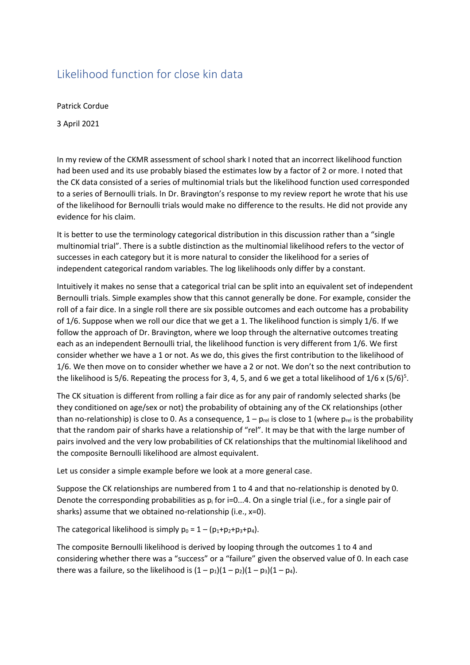### Likelihood function for close kin data

Patrick Cordue

3 April 2021

In my review of the CKMR assessment of school shark I noted that an incorrect likelihood function had been used and its use probably biased the estimates low by a factor of 2 or more. I noted that the CK data consisted of a series of multinomial trials but the likelihood function used corresponded to a series of Bernoulli trials. In Dr. Bravington's response to my review report he wrote that his use of the likelihood for Bernoulli trials would make no difference to the results. He did not provide any evidence for his claim.

It is better to use the terminology categorical distribution in this discussion rather than a "single multinomial trial". There is a subtle distinction as the multinomial likelihood refers to the vector of successes in each category but it is more natural to consider the likelihood for a series of independent categorical random variables. The log likelihoods only differ by a constant.

Intuitively it makes no sense that a categorical trial can be split into an equivalent set of independent Bernoulli trials. Simple examples show that this cannot generally be done. For example, consider the roll of a fair dice. In a single roll there are six possible outcomes and each outcome has a probability of 1/6. Suppose when we roll our dice that we get a 1. The likelihood function is simply 1/6. If we follow the approach of Dr. Bravington, where we loop through the alternative outcomes treating each as an independent Bernoulli trial, the likelihood function is very different from 1/6. We first consider whether we have a 1 or not. As we do, this gives the first contribution to the likelihood of 1/6. We then move on to consider whether we have a 2 or not. We don't so the next contribution to the likelihood is 5/6. Repeating the process for 3, 4, 5, and 6 we get a total likelihood of  $1/6 \times (5/6)^5$ .

The CK situation is different from rolling a fair dice as for any pair of randomly selected sharks (be they conditioned on age/sex or not) the probability of obtaining any of the CK relationships (other than no-relationship) is close to 0. As a consequence,  $1 - p_{rel}$  is close to 1 (where  $p_{rel}$  is the probability that the random pair of sharks have a relationship of "rel". It may be that with the large number of pairs involved and the very low probabilities of CK relationships that the multinomial likelihood and the composite Bernoulli likelihood are almost equivalent.

Let us consider a simple example before we look at a more general case.

Suppose the CK relationships are numbered from 1 to 4 and that no-relationship is denoted by 0. Denote the corresponding probabilities as  $p_i$  for i=0...4. On a single trial (i.e., for a single pair of sharks) assume that we obtained no-relationship (i.e., x=0).

The categorical likelihood is simply  $p_0 = 1 - (p_1+p_2+p_3+p_4)$ .

The composite Bernoulli likelihood is derived by looping through the outcomes 1 to 4 and considering whether there was a "success" or a "failure" given the observed value of 0. In each case there was a failure, so the likelihood is  $(1 - p_1)(1 - p_2)(1 - p_3)(1 - p_4)$ .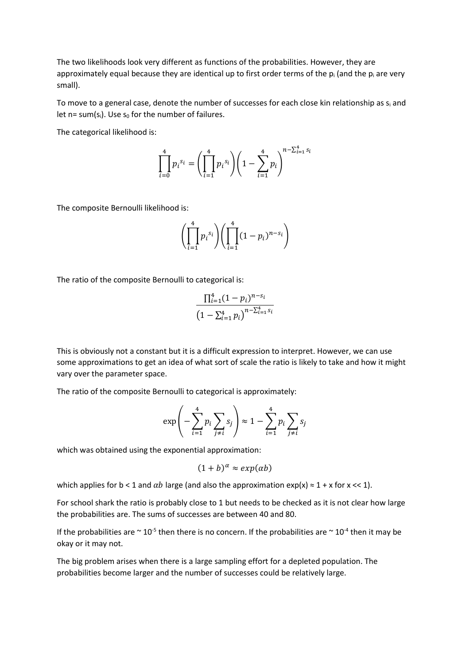The two likelihoods look very different as functions of the probabilities. However, they are approximately equal because they are identical up to first order terms of the  $p_i$  (and the  $p_i$  are very small).

To move to a general case, denote the number of successes for each close kin relationship as  $s_i$  and let n= sum(s<sub>i</sub>). Use s<sub>0</sub> for the number of failures.

The categorical likelihood is:

$$
\prod_{i=0}^{4} p_i^{s_i} = \left(\prod_{i=1}^{4} p_i^{s_i}\right) \left(1 - \sum_{i=1}^{4} p_i\right)^{n - \sum_{i=1}^{4} s_i}
$$

The composite Bernoulli likelihood is:

$$
\left(\prod_{i=1}^{4} p_i^{s_i}\right)\left(\prod_{i=1}^{4} (1-p_i)^{n-s_i}\right)
$$

The ratio of the composite Bernoulli to categorical is:

$$
\frac{\prod_{i=1}^{4} (1 - p_i)^{n - s_i}}{\left(1 - \sum_{i=1}^{4} p_i\right)^{n - \sum_{i=1}^{4} s_i}}
$$

This is obviously not a constant but it is a difficult expression to interpret. However, we can use some approximations to get an idea of what sort of scale the ratio is likely to take and how it might vary over the parameter space.

The ratio of the composite Bernoulli to categorical is approximately:

$$
\exp\left(-\sum_{i=1}^4 p_i \sum_{j\neq i} s_j\right) \approx 1 - \sum_{i=1}^4 p_i \sum_{j\neq i} s_j
$$

which was obtained using the exponential approximation:

$$
(1+b)^{\alpha} \approx exp(\alpha b)
$$

which applies for b < 1 and  $\alpha b$  large (and also the approximation  $\exp(x) \approx 1 + x$  for x << 1).

For school shark the ratio is probably close to 1 but needs to be checked as it is not clear how large the probabilities are. The sums of successes are between 40 and 80.

If the probabilities are  $\sim$  10<sup>-5</sup> then there is no concern. If the probabilities are  $\sim$  10<sup>-4</sup> then it may be okay or it may not.

The big problem arises when there is a large sampling effort for a depleted population. The probabilities become larger and the number of successes could be relatively large.